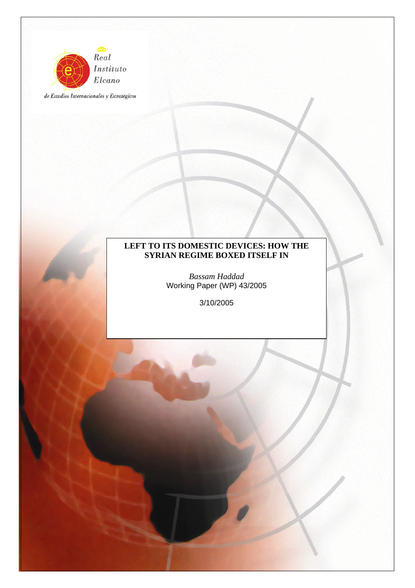

de Estudios Internacionales y Estratégicos

### **LEFT TO ITS DOMESTIC DEVICES: HOW THE SYRIAN REGIME BOXED ITSELF IN**

*Bassam Haddad* Working Paper (WP) 43/2005

3/10/2005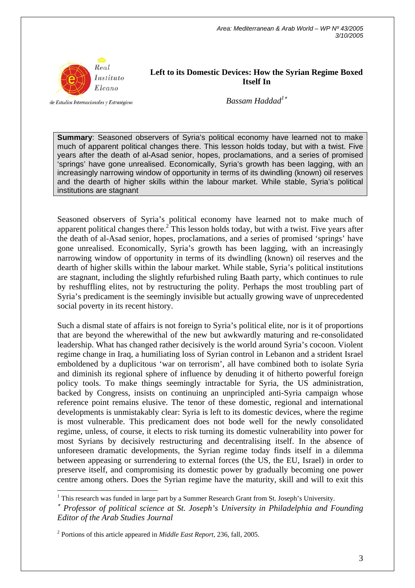

**Left to its Domestic Devices: How the Syrian Regime Boxed Itself In** 

de Estudios Internacionales y Estratégicos

*Bassam Haddad<sup>1</sup>*<sup>∗</sup>

**Summary**: Seasoned observers of Syria's political economy have learned not to make much of apparent political changes there. This lesson holds today, but with a twist. Five years after the death of al-Asad senior, hopes, proclamations, and a series of promised 'springs' have gone unrealised. Economically, Syria's growth has been lagging, with an increasingly narrowing window of opportunity in terms of its dwindling (known) oil reserves and the dearth of higher skills within the labour market. While stable, Syria's political institutions are stagnant

Seasoned observers of Syria's political economy have learned not to make much of apparent political changes there.<sup>2</sup> This lesson holds today, but with a twist. Five years after the death of al-Asad senior, hopes, proclamations, and a series of promised 'springs' have gone unrealised. Economically, Syria's growth has been lagging, with an increasingly narrowing window of opportunity in terms of its dwindling (known) oil reserves and the dearth of higher skills within the labour market. While stable, Syria's political institutions are stagnant, including the slightly refurbished ruling Baath party, which continues to rule by reshuffling elites, not by restructuring the polity. Perhaps the most troubling part of Syria's predicament is the seemingly invisible but actually growing wave of unprecedented social poverty in its recent history.

Such a dismal state of affairs is not foreign to Syria's political elite, nor is it of proportions that are beyond the wherewithal of the new but awkwardly maturing and re-consolidated leadership. What has changed rather decisively is the world around Syria's cocoon. Violent regime change in Iraq, a humiliating loss of Syrian control in Lebanon and a strident Israel emboldened by a duplicitous 'war on terrorism', all have combined both to isolate Syria and diminish its regional sphere of influence by denuding it of hitherto powerful foreign policy tools. To make things seemingly intractable for Syria, the US administration, backed by Congress, insists on continuing an unprincipled anti-Syria campaign whose reference point remains elusive. The tenor of these domestic, regional and international developments is unmistakably clear: Syria is left to its domestic devices, where the regime is most vulnerable. This predicament does not bode well for the newly consolidated regime, unless, of course, it elects to risk turning its domestic vulnerability into power for most Syrians by decisively restructuring and decentralising itself. In the absence of unforeseen dramatic developments, the Syrian regime today finds itself in a dilemma between appeasing or surrendering to external forces (the US, the EU, Israel) in order to preserve itself, and compromising its domestic power by gradually becoming one power centre among others. Does the Syrian regime have the maturity, skill and will to exit this

<sup>&</sup>lt;sup>1</sup> This research was funded in large part by a Summer Research Grant from St. Joseph's University.

<sup>∗</sup> *Professor of political science at St. Joseph's University in Philadelphia and Founding Editor of the Arab Studies Journal* 

<sup>2</sup> Portions of this article appeared in *Middle East Report,* 236, fall, 2005.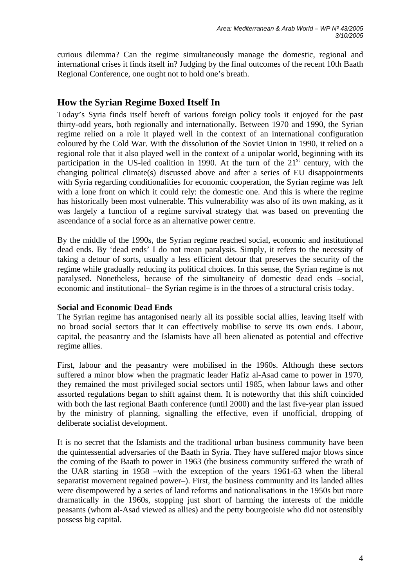curious dilemma? Can the regime simultaneously manage the domestic, regional and international crises it finds itself in? Judging by the final outcomes of the recent 10th Baath Regional Conference, one ought not to hold one's breath.

# **How the Syrian Regime Boxed Itself In**

Today's Syria finds itself bereft of various foreign policy tools it enjoyed for the past thirty-odd years, both regionally and internationally. Between 1970 and 1990, the Syrian regime relied on a role it played well in the context of an international configuration coloured by the Cold War. With the dissolution of the Soviet Union in 1990, it relied on a regional role that it also played well in the context of a unipolar world, beginning with its participation in the US-led coalition in 1990. At the turn of the  $21<sup>st</sup>$  century, with the changing political climate(s) discussed above and after a series of EU disappointments with Syria regarding conditionalities for economic cooperation, the Syrian regime was left with a lone front on which it could rely: the domestic one. And this is where the regime has historically been most vulnerable. This vulnerability was also of its own making, as it was largely a function of a regime survival strategy that was based on preventing the ascendance of a social force as an alternative power centre.

By the middle of the 1990s, the Syrian regime reached social, economic and institutional dead ends. By 'dead ends' I do not mean paralysis. Simply, it refers to the necessity of taking a detour of sorts, usually a less efficient detour that preserves the security of the regime while gradually reducing its political choices. In this sense, the Syrian regime is not paralysed. Nonetheless, because of the simultaneity of domestic dead ends –social, economic and institutional– the Syrian regime is in the throes of a structural crisis today.

#### **Social and Economic Dead Ends**

The Syrian regime has antagonised nearly all its possible social allies, leaving itself with no broad social sectors that it can effectively mobilise to serve its own ends. Labour, capital, the peasantry and the Islamists have all been alienated as potential and effective regime allies.

First, labour and the peasantry were mobilised in the 1960s. Although these sectors suffered a minor blow when the pragmatic leader Hafiz al-Asad came to power in 1970, they remained the most privileged social sectors until 1985, when labour laws and other assorted regulations began to shift against them. It is noteworthy that this shift coincided with both the last regional Baath conference (until 2000) and the last five-year plan issued by the ministry of planning, signalling the effective, even if unofficial, dropping of deliberate socialist development.

It is no secret that the Islamists and the traditional urban business community have been the quintessential adversaries of the Baath in Syria. They have suffered major blows since the coming of the Baath to power in 1963 (the business community suffered the wrath of the UAR starting in 1958 –with the exception of the years 1961-63 when the liberal separatist movement regained power–). First, the business community and its landed allies were disempowered by a series of land reforms and nationalisations in the 1950s but more dramatically in the 1960s, stopping just short of harming the interests of the middle peasants (whom al-Asad viewed as allies) and the petty bourgeoisie who did not ostensibly possess big capital.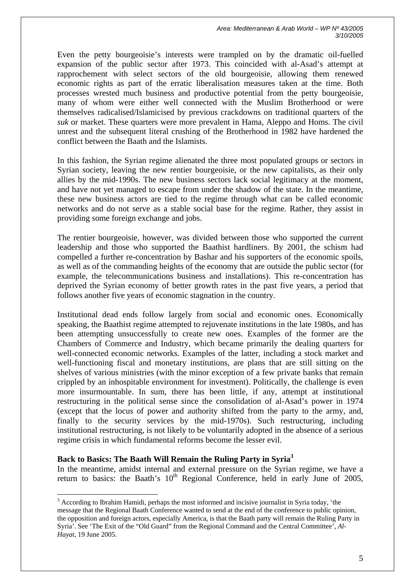*Area: Mediterranean & Arab World – WP Nº 43/2005 3/10/2005* 

Even the petty bourgeoisie's interests were trampled on by the dramatic oil-fuelled expansion of the public sector after 1973. This coincided with al-Asad's attempt at rapprochement with select sectors of the old bourgeoisie, allowing them renewed economic rights as part of the erratic liberalisation measures taken at the time. Both processes wrested much business and productive potential from the petty bourgeoisie, many of whom were either well connected with the Muslim Brotherhood or were themselves radicalised/Islamicised by previous crackdowns on traditional quarters of the *suk* or market. These quarters were more prevalent in Hama, Aleppo and Homs. The civil unrest and the subsequent literal crushing of the Brotherhood in 1982 have hardened the conflict between the Baath and the Islamists.

In this fashion, the Syrian regime alienated the three most populated groups or sectors in Syrian society, leaving the new rentier bourgeoisie, or the new capitalists, as their only allies by the mid-1990s. The new business sectors lack social legitimacy at the moment, and have not yet managed to escape from under the shadow of the state. In the meantime, these new business actors are tied to the regime through what can be called economic networks and do not serve as a stable social base for the regime. Rather, they assist in providing some foreign exchange and jobs.

The rentier bourgeoisie, however, was divided between those who supported the current leadership and those who supported the Baathist hardliners. By 2001, the schism had compelled a further re-concentration by Bashar and his supporters of the economic spoils, as well as of the commanding heights of the economy that are outside the public sector (for example, the telecommunications business and installations). This re-concentration has deprived the Syrian economy of better growth rates in the past five years, a period that follows another five years of economic stagnation in the country.

Institutional dead ends follow largely from social and economic ones. Economically speaking, the Baathist regime attempted to rejuvenate institutions in the late 1980s, and has been attempting unsuccessfully to create new ones. Examples of the former are the Chambers of Commerce and Industry, which became primarily the dealing quarters for well-connected economic networks. Examples of the latter, including a stock market and well-functioning fiscal and monetary institutions, are plans that are still sitting on the shelves of various ministries (with the minor exception of a few private banks that remain crippled by an inhospitable environment for investment). Politically, the challenge is even more insurmountable. In sum, there has been little, if any, attempt at institutional restructuring in the political sense since the consolidation of al-Asad's power in 1974 (except that the locus of power and authority shifted from the party to the army, and, finally to the security services by the mid-1970s). Such restructuring, including institutional restructuring, is not likely to be voluntarily adopted in the absence of a serious regime crisis in which fundamental reforms become the lesser evil.

#### **Back to Basics: The Baath Will Remain the Ruling Party in Syria3**

 $\overline{a}$ 

In the meantime, amidst internal and external pressure on the Syrian regime, we have a return to basics: the Baath's  $10<sup>th</sup>$  Regional Conference, held in early June of 2005,

 $3$  According to Ibrahim Hamidi, perhaps the most informed and incisive journalist in Syria today, 'the message that the Regional Baath Conference wanted to send at the end of the conference to public opinion, the opposition and foreign actors, especially America, is that the Baath party will remain the Ruling Party in Syria'. See 'The Exit of the "Old Guard" from the Regional Command and the Central Committee', *Al-Hayat*, 19 June 2005.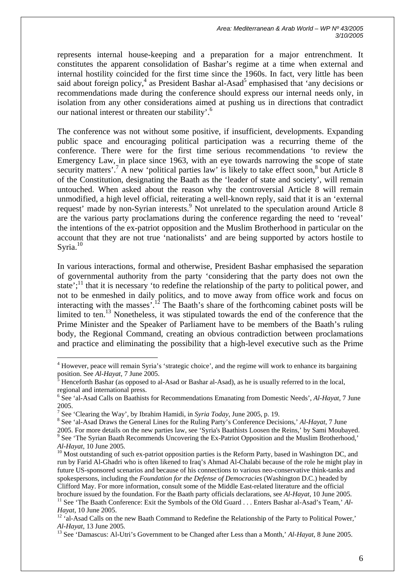represents internal house-keeping and a preparation for a major entrenchment. It constitutes the apparent consolidation of Bashar's regime at a time when external and internal hostility coincided for the first time since the 1960s. In fact, very little has been said about foreign policy,<sup>4</sup> as President Bashar al-Asad<sup>5</sup> emphasised that 'any decisions or recommendations made during the conference should express our internal needs only, in isolation from any other considerations aimed at pushing us in directions that contradict our national interest or threaten our stability'.6

The conference was not without some positive, if insufficient, developments. Expanding public space and encouraging political participation was a recurring theme of the conference. There were for the first time serious recommendations 'to review the Emergency Law, in place since 1963, with an eye towards narrowing the scope of state security matters'.<sup>7</sup> A new 'political parties law' is likely to take effect soon,<sup>8</sup> but Article 8 of the Constitution, designating the Baath as the 'leader of state and society', will remain untouched. When asked about the reason why the controversial Article 8 will remain unmodified, a high level official, reiterating a well-known reply, said that it is an 'external request' made by non-Syrian interests.<sup>9</sup> Not unrelated to the speculation around Article 8 are the various party proclamations during the conference regarding the need to 'reveal' the intentions of the ex-patriot opposition and the Muslim Brotherhood in particular on the account that they are not true 'nationalists' and are being supported by actors hostile to Syria. $10$ 

In various interactions, formal and otherwise, President Bashar emphasised the separation of governmental authority from the party 'considering that the party does not own the state';<sup>11</sup> that it is necessary 'to redefine the relationship of the party to political power, and not to be enmeshed in daily politics, and to move away from office work and focus on interacting with the masses<sup> $\frac{1}{2}$ </sup>.<sup>12</sup> The Baath's share of the forthcoming cabinet posts will be limited to ten.<sup>13</sup> Nonetheless, it was stipulated towards the end of the conference that the Prime Minister and the Speaker of Parliament have to be members of the Baath's ruling body, the Regional Command, creating an obvious contradiction between proclamations and practice and eliminating the possibility that a high-level executive such as the Prime

<sup>&</sup>lt;sup>4</sup> However, peace will remain Syria's 'strategic choice', and the regime will work to enhance its bargaining position. See *Al-Hayat*, 7 June 2005.

Henceforth Bashar (as opposed to al-Asad or Bashar al-Asad), as he is usually referred to in the local, regional and international press.

See 'al-Asad Calls on Baathists for Recommendations Emanating from Domestic Needs', *Al-Hayat*, 7 June

<sup>2005. 7</sup> See 'Clearing the Way', by Ibrahim Hamidi, in *Syria Today*, June 2005, p. 19. 8

See 'al-Asad Draws the General Lines for the Ruling Party's Conference Decisions,' *Al-Hayat*, 7 June 2005. For more details on the new parties law, see 'Syria's Baathists Loosen the Reins,' by Sami Moubayed. 9 <sup>9</sup> See 'The Syrian Baath Recommends Uncovering the Ex-Patriot Opposition and the Muslim Brotherhood,'

*Al-Hayat*, 10 June 2005.<br><sup>10</sup> Most outstanding of such ex-patriot opposition parties is the Reform Party, based in Washington DC, and run by Farid Al-Ghadri who is often likened to Iraq's Ahmad Al-Chalabi because of the role he might play in future US-sponsored scenarios and because of his connections to various neo-conservative think-tanks and spokespersons, including the *Foundation for the Defense of Democracies* (Washington D.C.) headed by Clifford May. For more information, consult some of the Middle East-related literature and the official brochure issued by the foundation. For the Baath party officials declarations, see Al-Hayat, 10 June 2005.<br><sup>11</sup> See 'The Baath Conference: Exit the Symbols of the Old Guard . . . Enters Bashar al-Asad's Team,' Al-

*Hayat*, 10 June 2005.<br><sup>12</sup> 'al-Asad Calls on the new Baath Command to Redefine the Relationship of the Party to Political Power,' *Al-Hayat*, 13 June 2005.

<sup>13</sup> See 'Damascus: Al-Utri's Government to be Changed after Less than a Month,' *Al-Hayat*, 8 June 2005.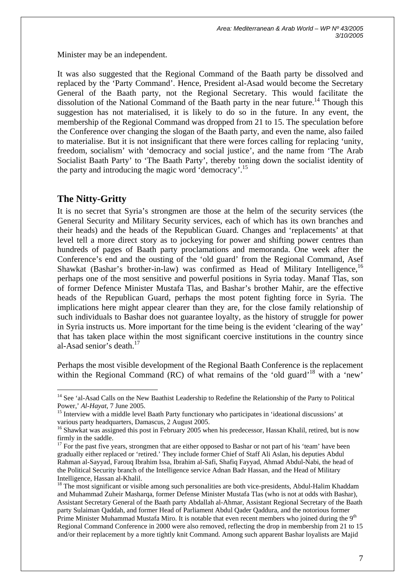Minister may be an independent.

It was also suggested that the Regional Command of the Baath party be dissolved and replaced by the 'Party Command'. Hence, President al-Asad would become the Secretary General of the Baath party, not the Regional Secretary. This would facilitate the dissolution of the National Command of the Baath party in the near future.<sup>14</sup> Though this suggestion has not materialised, it is likely to do so in the future. In any event, the membership of the Regional Command was dropped from 21 to 15. The speculation before the Conference over changing the slogan of the Baath party, and even the name, also failed to materialise. But it is not insignificant that there were forces calling for replacing 'unity, freedom, socialism' with 'democracy and social justice', and the name from 'The Arab Socialist Baath Party' to 'The Baath Party', thereby toning down the socialist identity of the party and introducing the magic word 'democracy'.<sup>15</sup>

## **The Nitty-Gritty**

 $\overline{a}$ 

It is no secret that Syria's strongmen are those at the helm of the security services (the General Security and Military Security services, each of which has its own branches and their heads) and the heads of the Republican Guard. Changes and 'replacements' at that level tell a more direct story as to jockeying for power and shifting power centres than hundreds of pages of Baath party proclamations and memoranda. One week after the Conference's end and the ousting of the 'old guard' from the Regional Command, Asef Shawkat (Bashar's brother-in-law) was confirmed as Head of Military Intelligence,  $16$ perhaps one of the most sensitive and powerful positions in Syria today. Manaf Tlas, son of former Defence Minister Mustafa Tlas, and Bashar's brother Mahir, are the effective heads of the Republican Guard, perhaps the most potent fighting force in Syria. The implications here might appear clearer than they are, for the close family relationship of such individuals to Bashar does not guarantee loyalty, as the history of struggle for power in Syria instructs us. More important for the time being is the evident 'clearing of the way' that has taken place within the most significant coercive institutions in the country since al-Asad senior's death. $17$ 

Perhaps the most visible development of the Regional Baath Conference is the replacement within the Regional Command (RC) of what remains of the 'old guard'<sup>18</sup> with a 'new'

<sup>&</sup>lt;sup>14</sup> See 'al-Asad Calls on the New Baathist Leadership to Redefine the Relationship of the Party to Political Power,' *Al-Hayat*, 7 June 2005.<br><sup>15</sup> Interview with a middle level Baath Party functionary who participates in 'ideational discussions' at

various party headquarters, Damascus, 2 August 2005.<br><sup>16</sup> Shawkat was assigned this post in February 2005 when his predecessor, Hassan Khalil, retired, but is now

firmly in the saddle.<br><sup>17</sup> For the past five years, strongmen that are either opposed to Bashar or not part of his 'team' have been

gradually either replaced or 'retired.' They include former Chief of Staff Ali Aslan, his deputies Abdul Rahman al-Sayyad, Farouq Ibrahim Issa, Ibrahim al-Safi, Shafiq Fayyad, Ahmad Abdul-Nabi, the head of the Political Security branch of the Intelligence service Adnan Badr Hassan, and the Head of Military Intelligence, Hassan al-Khalil.

<sup>&</sup>lt;sup>18</sup> The most significant or visible among such personalities are both vice-presidents, Abdul-Halim Khaddam and Muhammad Zuheir Masharqa, former Defense Minister Mustafa Tlas (who is not at odds with Bashar), Assistant Secretary General of the Baath party Abdallah al-Ahmar, Assistant Regional Secretary of the Baath party Sulaiman Qaddah, and former Head of Parliament Abdul Qader Qaddura, and the notorious former Prime Minister Muhammad Mustafa Miro. It is notable that even recent members who joined during the 9<sup>th</sup> Regional Command Conference in 2000 were also removed, reflecting the drop in membership from 21 to 15 and/or their replacement by a more tightly knit Command. Among such apparent Bashar loyalists are Majid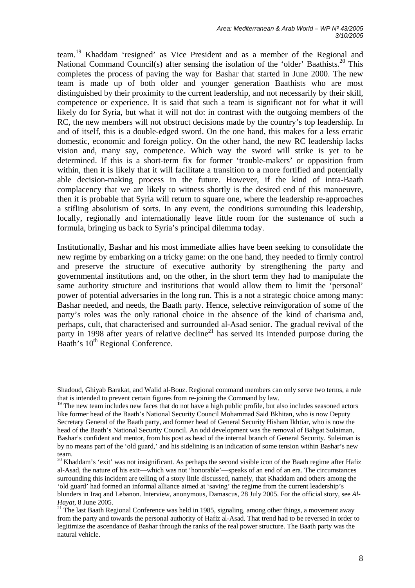*Area: Mediterranean & Arab World – WP Nº 43/2005 3/10/2005* 

team.<sup>19</sup> Khaddam 'resigned' as Vice President and as a member of the Regional and National Command Council(s) after sensing the isolation of the 'older' Baathists.<sup>20</sup> This completes the process of paving the way for Bashar that started in June 2000. The new team is made up of both older and younger generation Baathists who are most distinguished by their proximity to the current leadership, and not necessarily by their skill, competence or experience. It is said that such a team is significant not for what it will likely do for Syria, but what it will not do: in contrast with the outgoing members of the RC, the new members will not obstruct decisions made by the country's top leadership. In and of itself, this is a double-edged sword. On the one hand, this makes for a less erratic domestic, economic and foreign policy. On the other hand, the new RC leadership lacks vision and, many say, competence. Which way the sword will strike is yet to be determined. If this is a short-term fix for former 'trouble-makers' or opposition from within, then it is likely that it will facilitate a transition to a more fortified and potentially able decision-making process in the future. However, if the kind of intra-Baath complacency that we are likely to witness shortly is the desired end of this manoeuvre, then it is probable that Syria will return to square one, where the leadership re-approaches a stifling absolutism of sorts. In any event, the conditions surrounding this leadership, locally, regionally and internationally leave little room for the sustenance of such a formula, bringing us back to Syria's principal dilemma today.

Institutionally, Bashar and his most immediate allies have been seeking to consolidate the new regime by embarking on a tricky game: on the one hand, they needed to firmly control and preserve the structure of executive authority by strengthening the party and governmental institutions and, on the other, in the short term they had to manipulate the same authority structure and institutions that would allow them to limit the 'personal' power of potential adversaries in the long run. This is a not a strategic choice among many: Bashar needed, and needs, the Baath party. Hence, selective reinvigoration of some of the party's roles was the only rational choice in the absence of the kind of charisma and, perhaps, cult, that characterised and surrounded al-Asad senior. The gradual revival of the party in 1998 after years of relative decline<sup>21</sup> has served its intended purpose during the Baath's 10<sup>th</sup> Regional Conference.

Shadoud, Ghiyab Barakat, and Walid al-Bouz. Regional command members can only serve two terms, a rule that is intended to prevent certain figures from re-joining the Command by law.

<sup>&</sup>lt;sup>19</sup> The new team includes new faces that do not have a high public profile, but also includes seasoned actors like former head of the Baath's National Security Council Mohammad Said Bkhitan, who is now Deputy Secretary General of the Baath party, and former head of General Security Hisham Ikhtiar, who is now the head of the Baath's National Security Council. An odd development was the removal of Bahgat Sulaiman, Bashar's confident and mentor, from his post as head of the internal branch of General Security. Suleiman is by no means part of the 'old guard,' and his sidelining is an indication of some tension within Bashar's new

team.<br><sup>20</sup> Khaddam's 'exit' was not insignificant. As perhaps the second visible icon of the Baath regime after Hafiz al-Asad, the nature of his exit—which was not 'honorable'—speaks of an end of an era. The circumstances surrounding this incident are telling of a story little discussed, namely, that Khaddam and others among the 'old guard' had formed an informal alliance aimed at 'saving' the regime from the current leadership's blunders in Iraq and Lebanon. Interview, anonymous, Damascus, 28 July 2005. For the official story, see *Al-Hayat*, 8 June 2005.

 $21$  The last Baath Regional Conference was held in 1985, signaling, among other things, a movement away from the party and towards the personal authority of Hafiz al-Asad. That trend had to be reversed in order to legitimize the ascendance of Bashar through the ranks of the real power structure. The Baath party was the natural vehicle.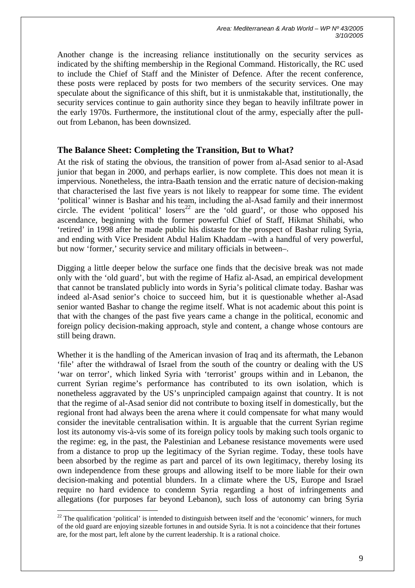Another change is the increasing reliance institutionally on the security services as indicated by the shifting membership in the Regional Command. Historically, the RC used to include the Chief of Staff and the Minister of Defence. After the recent conference, these posts were replaced by posts for two members of the security services. One may speculate about the significance of this shift, but it is unmistakable that, institutionally, the security services continue to gain authority since they began to heavily infiltrate power in the early 1970s. Furthermore, the institutional clout of the army, especially after the pullout from Lebanon, has been downsized.

### **The Balance Sheet: Completing the Transition, But to What?**

At the risk of stating the obvious, the transition of power from al-Asad senior to al-Asad junior that began in 2000, and perhaps earlier, is now complete. This does not mean it is impervious. Nonetheless, the intra-Baath tension and the erratic nature of decision-making that characterised the last five years is not likely to reappear for some time. The evident 'political' winner is Bashar and his team, including the al-Asad family and their innermost circle. The evident 'political' losers<sup>22</sup> are the 'old guard', or those who opposed his ascendance, beginning with the former powerful Chief of Staff, Hikmat Shihabi, who 'retired' in 1998 after he made public his distaste for the prospect of Bashar ruling Syria, and ending with Vice President Abdul Halim Khaddam –with a handful of very powerful, but now 'former,' security service and military officials in between–.

Digging a little deeper below the surface one finds that the decisive break was not made only with the 'old guard', but with the regime of Hafiz al-Asad, an empirical development that cannot be translated publicly into words in Syria's political climate today. Bashar was indeed al-Asad senior's choice to succeed him, but it is questionable whether al-Asad senior wanted Bashar to change the regime itself. What is not academic about this point is that with the changes of the past five years came a change in the political, economic and foreign policy decision-making approach, style and content, a change whose contours are still being drawn.

Whether it is the handling of the American invasion of Iraq and its aftermath, the Lebanon 'file' after the withdrawal of Israel from the south of the country or dealing with the US 'war on terror', which linked Syria with 'terrorist' groups within and in Lebanon, the current Syrian regime's performance has contributed to its own isolation, which is nonetheless aggravated by the US's unprincipled campaign against that country. It is not that the regime of al-Asad senior did not contribute to boxing itself in domestically, but the regional front had always been the arena where it could compensate for what many would consider the inevitable centralisation within. It is arguable that the current Syrian regime lost its autonomy vis-à-vis some of its foreign policy tools by making such tools organic to the regime: eg, in the past, the Palestinian and Lebanese resistance movements were used from a distance to prop up the legitimacy of the Syrian regime. Today, these tools have been absorbed by the regime as part and parcel of its own legitimacy, thereby losing its own independence from these groups and allowing itself to be more liable for their own decision-making and potential blunders. In a climate where the US, Europe and Israel require no hard evidence to condemn Syria regarding a host of infringements and allegations (for purposes far beyond Lebanon), such loss of autonomy can bring Syria

 $22$  The qualification 'political' is intended to distinguish between itself and the 'economic' winners, for much of the old guard are enjoying sizeable fortunes in and outside Syria. It is not a coincidence that their fortunes are, for the most part, left alone by the current leadership. It is a rational choice.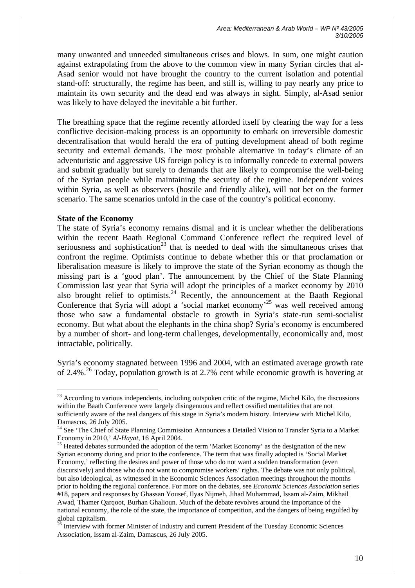many unwanted and unneeded simultaneous crises and blows. In sum, one might caution against extrapolating from the above to the common view in many Syrian circles that al-Asad senior would not have brought the country to the current isolation and potential stand-off: structurally, the regime has been, and still is, willing to pay nearly any price to maintain its own security and the dead end was always in sight. Simply, al-Asad senior was likely to have delayed the inevitable a bit further.

The breathing space that the regime recently afforded itself by clearing the way for a less conflictive decision-making process is an opportunity to embark on irreversible domestic decentralisation that would herald the era of putting development ahead of both regime security and external demands. The most probable alternative in today's climate of an adventuristic and aggressive US foreign policy is to informally concede to external powers and submit gradually but surely to demands that are likely to compromise the well-being of the Syrian people while maintaining the security of the regime. Independent voices within Syria, as well as observers (hostile and friendly alike), will not bet on the former scenario. The same scenarios unfold in the case of the country's political economy.

#### **State of the Economy**

 $\overline{a}$ 

The state of Syria's economy remains dismal and it is unclear whether the deliberations within the recent Baath Regional Command Conference reflect the required level of seriousness and sophistication<sup>23</sup> that is needed to deal with the simultaneous crises that confront the regime. Optimists continue to debate whether this or that proclamation or liberalisation measure is likely to improve the state of the Syrian economy as though the missing part is a 'good plan'. The announcement by the Chief of the State Planning Commission last year that Syria will adopt the principles of a market economy by 2010 also brought relief to optimists.<sup>24</sup> Recently, the announcement at the Baath Regional Conference that Syria will adopt a 'social market economy'25 was well received among those who saw a fundamental obstacle to growth in Syria's state-run semi-socialist economy. But what about the elephants in the china shop? Syria's economy is encumbered by a number of short- and long-term challenges, developmentally, economically and, most intractable, politically.

Syria's economy stagnated between 1996 and 2004, with an estimated average growth rate of 2.4%.<sup>26</sup> Today, population growth is at 2.7% cent while economic growth is hovering at

 $^{23}$  According to various independents, including outspoken critic of the regime. Michel Kilo, the discussions within the Baath Conference were largely disingenuous and reflect ossified mentalities that are not sufficiently aware of the real dangers of this stage in Syria's modern history. Interview with Michel Kilo, Damascus, 26 July 2005.<br><sup>24</sup> See 'The Chief of State Planning Commission Announces a Detailed Vision to Transfer Syria to a Market

Economy in 2010,' *Al-Hayat*, 16 April 2004.<br><sup>25</sup> Heated debates surrounded the adoption of the term 'Market Economy' as the designation of the new

Syrian economy during and prior to the conference. The term that was finally adopted is 'Social Market Economy,' reflecting the desires and power of those who do not want a sudden transformation (even discursively) and those who do not want to compromise workers' rights. The debate was not only political, but also ideological, as witnessed in the Economic Sciences Association meetings throughout the months prior to holding the regional conference. For more on the debates, see *Economic Sciences Association* series #18, papers and responses by Ghassan Yousef, Ilyas Nijmeh, Jihad Muhammad, Issam al-Zaim, Mikhail Awad, Thamer Qarqoot, Burhan Ghalioun. Much of the debate revolves around the importance of the national economy, the role of the state, the importance of competition, and the dangers of being engulfed by global capitalism.

<sup>&</sup>lt;sup>5</sup> Interview with former Minister of Industry and current President of the Tuesday Economic Sciences Association, Issam al-Zaim, Damascus, 26 July 2005.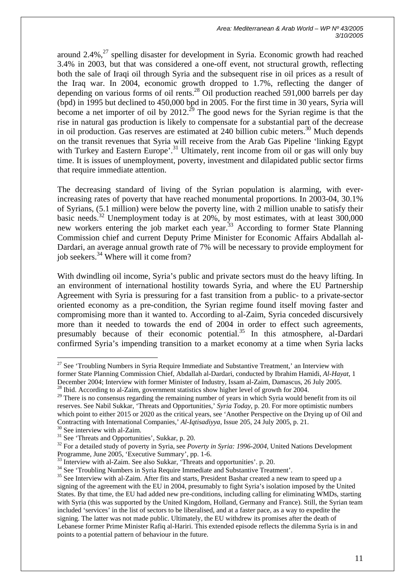around  $2.4\%$ ,<sup>27</sup> spelling disaster for development in Syria. Economic growth had reached 3.4% in 2003, but that was considered a one-off event, not structural growth, reflecting both the sale of Iraqi oil through Syria and the subsequent rise in oil prices as a result of the Iraq war. In 2004, economic growth dropped to 1.7%, reflecting the danger of depending on various forms of oil rents.<sup>28</sup> Oil production reached 591,000 barrels per day (bpd) in 1995 but declined to 450,000 bpd in 2005. For the first time in 30 years, Syria will become a net importer of oil by 2012.<sup>29</sup> The good news for the Syrian regime is that the rise in natural gas production is likely to compensate for a substantial part of the decrease in oil production. Gas reserves are estimated at 240 billion cubic meters.30 Much depends on the transit revenues that Syria will receive from the Arab Gas Pipeline 'linking Egypt with Turkey and Eastern Europe'.<sup>31</sup> Ultimately, rent income from oil or gas will only buy time. It is issues of unemployment, poverty, investment and dilapidated public sector firms that require immediate attention.

The decreasing standard of living of the Syrian population is alarming, with everincreasing rates of poverty that have reached monumental proportions. In 2003-04, 30.1% of Syrians, (5.1 million) were below the poverty line, with 2 million unable to satisfy their basic needs.<sup>32</sup> Unemployment today is at  $20\%$ , by most estimates, with at least  $300,000$ new workers entering the job market each year.<sup>33</sup> According to former State Planning Commission chief and current Deputy Prime Minister for Economic Affairs Abdallah al-Dardari, an average annual growth rate of 7% will be necessary to provide employment for job seekers.34 Where will it come from?

With dwindling oil income, Syria's public and private sectors must do the heavy lifting. In an environment of international hostility towards Syria, and where the EU Partnership Agreement with Syria is pressuring for a fast transition from a public- to a private-sector oriented economy as a pre-condition, the Syrian regime found itself moving faster and compromising more than it wanted to. According to al-Zaim, Syria conceded discursively more than it needed to towards the end of 2004 in order to effect such agreements, presumably because of their economic potential.<sup>35</sup> In this atmosphere, al-Dardari confirmed Syria's impending transition to a market economy at a time when Syria lacks

<sup>&</sup>lt;sup>27</sup> See 'Troubling Numbers in Syria Require Immediate and Substantive Treatment,' an Interview with former State Planning Commission Chief, Abdallah al-Dardari, conducted by Ibrahim Hamidi, *Al-Hayat*, 1 December 2004; Interview with former Minister of Industry, Issam al-Zaim, Damascus, 26 July 2005.<br><sup>28</sup> Ibid. According to al-Zaim, government statistics show higher level of growth for 2004.<br><sup>29</sup> There is no consensus rega

reserves. See Nabil Sukkar, 'Threats and Opportunities,' *Syria Today*, p. 20. For more optimistic numbers which point to either 2015 or 2020 as the critical years, see 'Another Perspective on the Drying up of Oil and

Contracting with International Companies,' Al-Iqtisadiyya, Issue 205, 24 July 2005, p. 21.<br><sup>30</sup> See interview with al-Zaim.<br><sup>31</sup> See 'Threats and Opportunities', Sukkar, p. 20.<br><sup>32</sup> For a detailed study of poverty in Syria

<sup>&</sup>lt;sup>33</sup> Interview with al-Zaim. See also Sukkar, 'Threats and opportunities'. p. 20.  $34$  See 'Troubling Numbers in Syria Require Immediate and Substantive Treatment'.

<sup>&</sup>lt;sup>35</sup> See Interview with al-Zaim. After fits and starts, President Bashar created a new team to speed up a signing of the agreement with the EU in 2004, presumably to fight Syria's isolation imposed by the United States. By that time, the EU had added new pre-conditions, including calling for eliminating WMDs, starting with Syria (this was supported by the United Kingdom, Holland, Germany and France). Still, the Syrian team included 'services' in the list of sectors to be liberalised, and at a faster pace, as a way to expedite the signing. The latter was not made public. Ultimately, the EU withdrew its promises after the death of Lebanese former Prime Minister Rafiq al-Hariri. This extended episode reflects the dilemma Syria is in and points to a potential pattern of behaviour in the future.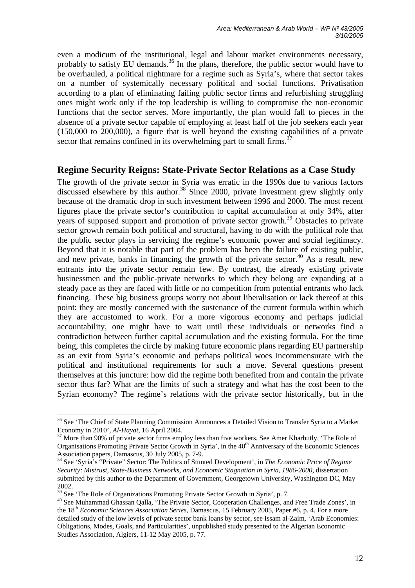even a modicum of the institutional, legal and labour market environments necessary, probably to satisfy EU demands.<sup>36</sup> In the plans, therefore, the public sector would have to be overhauled, a political nightmare for a regime such as Syria's, where that sector takes on a number of systemically necessary political and social functions. Privatisation according to a plan of eliminating failing public sector firms and refurbishing struggling ones might work only if the top leadership is willing to compromise the non-economic functions that the sector serves. More importantly, the plan would fall to pieces in the absence of a private sector capable of employing at least half of the job seekers each year (150,000 to 200,000), a figure that is well beyond the existing capabilities of a private sector that remains confined in its overwhelming part to small firms.<sup>37</sup>

### **Regime Security Reigns: State-Private Sector Relations as a Case Study**

The growth of the private sector in Syria was erratic in the 1990s due to various factors discussed elsewhere by this author.<sup>38</sup> Since 2000, private investment grew slightly only because of the dramatic drop in such investment between 1996 and 2000. The most recent figures place the private sector's contribution to capital accumulation at only 34%, after years of supposed support and promotion of private sector growth.<sup>39</sup> Obstacles to private sector growth remain both political and structural, having to do with the political role that the public sector plays in servicing the regime's economic power and social legitimacy. Beyond that it is notable that part of the problem has been the failure of existing public, and new private, banks in financing the growth of the private sector.<sup>40</sup> As a result, new entrants into the private sector remain few. By contrast, the already existing private businessmen and the public-private networks to which they belong are expanding at a steady pace as they are faced with little or no competition from potential entrants who lack financing. These big business groups worry not about liberalisation or lack thereof at this point: they are mostly concerned with the sustenance of the current formula within which they are accustomed to work. For a more vigorous economy and perhaps judicial accountability, one might have to wait until these individuals or networks find a contradiction between further capital accumulation and the existing formula. For the time being, this completes the circle by making future economic plans regarding EU partnership as an exit from Syria's economic and perhaps political woes incommensurate with the political and institutional requirements for such a move. Several questions present themselves at this juncture: how did the regime both benefited from and contain the private sector thus far? What are the limits of such a strategy and what has the cost been to the Syrian economy? The regime's relations with the private sector historically, but in the

<sup>&</sup>lt;sup>36</sup> See 'The Chief of State Planning Commission Announces a Detailed Vision to Transfer Syria to a Market Economy in 2010', *Al-Hayat*, 16 April 2004.<br><sup>37</sup> More than 90% of private sector firms employ less than five workers. See Amer Kharbutly, 'The Role of

Organisations Promoting Private Sector Growth in Syria', in the 40<sup>th</sup> Anniversary of the Economic Sciences Association papers, Damascus, 30 July 2005, p. 7-9.<br><sup>38</sup> See 'Syria's "Private" Sector: The Politics of Stunted Development', in *The Economic Price of Regime* 

*Security: Mistrust, State-Business Networks, and Economic Stagnation in Syria, 1986-2000*, dissertation submitted by this author to the Department of Government, Georgetown University, Washington DC, May 2002. 39 See 'The Role of Organizations Promoting Private Sector Growth in Syria', p. 7.

<sup>40</sup> See Muhammad Ghassan Qalla, 'The Private Sector, Cooperation Challenges, and Free Trade Zones', in the 18th *Economic Sciences Association Series*, Damascus, 15 February 2005, Paper #6, p. 4. For a more detailed study of the low levels of private sector bank loans by sector, see Issam al-Zaim, 'Arab Economies: Obligations, Modes, Goals, and Particularities', unpublished study presented to the Algerian Economic Studies Association, Algiers, 11-12 May 2005, p. 77.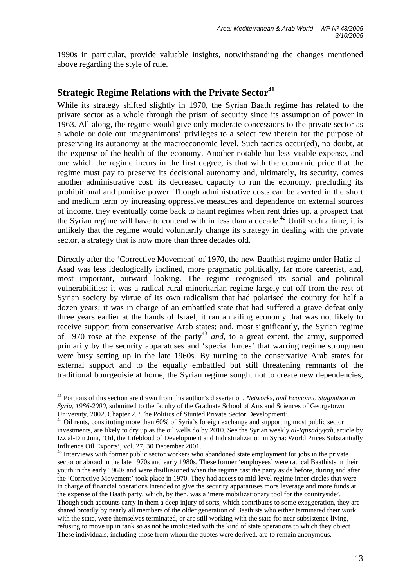1990s in particular, provide valuable insights, notwithstanding the changes mentioned above regarding the style of rule.

## **Strategic Regime Relations with the Private Sector<sup>41</sup>**

While its strategy shifted slightly in 1970, the Syrian Baath regime has related to the private sector as a whole through the prism of security since its assumption of power in 1963. All along, the regime would give only moderate concessions to the private sector as a whole or dole out 'magnanimous' privileges to a select few therein for the purpose of preserving its autonomy at the macroeconomic level. Such tactics occur(ed), no doubt, at the expense of the health of the economy. Another notable but less visible expense, and one which the regime incurs in the first degree, is that with the economic price that the regime must pay to preserve its decisional autonomy and, ultimately, its security, comes another administrative cost: its decreased capacity to run the economy, precluding its prohibitional and punitive power. Though administrative costs can be averted in the short and medium term by increasing oppressive measures and dependence on external sources of income, they eventually come back to haunt regimes when rent dries up, a prospect that the Syrian regime will have to contend with in less than a decade.<sup>42</sup> Until such a time, it is unlikely that the regime would voluntarily change its strategy in dealing with the private sector, a strategy that is now more than three decades old.

Directly after the 'Corrective Movement' of 1970, the new Baathist regime under Hafiz al-Asad was less ideologically inclined, more pragmatic politically, far more careerist, and, most important, outward looking. The regime recognised its social and political vulnerabilities: it was a radical rural-minoritarian regime largely cut off from the rest of Syrian society by virtue of its own radicalism that had polarised the country for half a dozen years; it was in charge of an embattled state that had suffered a grave defeat only three years earlier at the hands of Israel; it ran an ailing economy that was not likely to receive support from conservative Arab states; and, most significantly, the Syrian regime of 1970 rose at the expense of the party43 *and*, to a great extent, the army, supported primarily by the security apparatuses and 'special forces' that warring regime strongmen were busy setting up in the late 1960s. By turning to the conservative Arab states for external support and to the equally embattled but still threatening remnants of the traditional bourgeoisie at home, the Syrian regime sought not to create new dependencies,

<sup>41</sup> Portions of this section are drawn from this author's dissertation, *Networks, and Economic Stagnation in Syria, 1986-2000*, submitted to the faculty of the Graduate School of Arts and Sciences of Georgetown University, 2002, Chapter 2, 'The Politics of Stunted Private Sector Development'.

University, 2002, Chapter 2,  $\frac{1}{2}$  oil rents, constituting more than 60% of Syria's foreign exchange and supporting most public sector investments, are likely to dry up as the oil wells do by 2010. See the Syrian weekly *al-Iqtisadiyyah*, article by Izz al-Din Juni, 'Oil, the Lifeblood of Development and Industrialization in Syria: World Prices Substantially Influence Oil Exports', vol. 27, 30 December 2001.

<sup>&</sup>lt;sup>43</sup> Interviews with former public sector workers who abandoned state employment for jobs in the private sector or abroad in the late 1970s and early 1980s. These former 'employees' were radical Baathists in their youth in the early 1960s and were disillusioned when the regime cast the party aside before, during and after the 'Corrective Movement' took place in 1970. They had access to mid-level regime inner circles that were in charge of financial operations intended to give the security apparatuses more leverage and more funds at the expense of the Baath party, which, by then, was a 'mere mobilizationary tool for the countryside'. Though such accounts carry in them a deep injury of sorts, which contributes to some exaggeration, they are shared broadly by nearly all members of the older generation of Baathists who either terminated their work with the state, were themselves terminated, or are still working with the state for near subsistence living, refusing to move up in rank so as not be implicated with the kind of state operations to which they object. These individuals, including those from whom the quotes were derived, are to remain anonymous.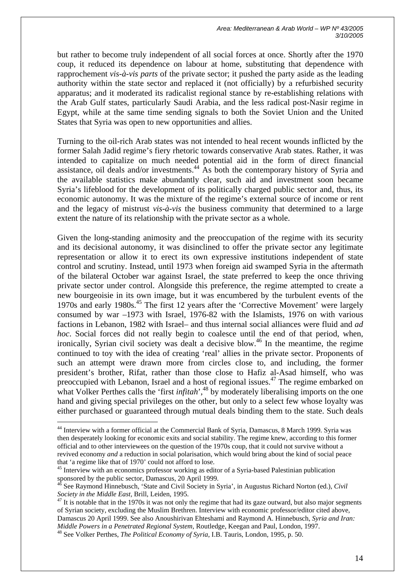but rather to become truly independent of all social forces at once. Shortly after the 1970 coup, it reduced its dependence on labour at home, substituting that dependence with rapprochement *vis-à-vis parts* of the private sector; it pushed the party aside as the leading authority within the state sector and replaced it (not officially) by a refurbished security apparatus; and it moderated its radicalist regional stance by re-establishing relations with the Arab Gulf states, particularly Saudi Arabia, and the less radical post-Nasir regime in Egypt, while at the same time sending signals to both the Soviet Union and the United States that Syria was open to new opportunities and allies.

Turning to the oil-rich Arab states was not intended to heal recent wounds inflicted by the former Salah Jadid regime's fiery rhetoric towards conservative Arab states. Rather, it was intended to capitalize on much needed potential aid in the form of direct financial assistance, oil deals and/or investments.<sup>44</sup> As both the contemporary history of Syria and the available statistics make abundantly clear, such aid and investment soon became Syria's lifeblood for the development of its politically charged public sector and, thus, its economic autonomy. It was the mixture of the regime's external source of income or rent and the legacy of mistrust *vis-à-vis* the business community that determined to a large extent the nature of its relationship with the private sector as a whole.

Given the long-standing animosity and the preoccupation of the regime with its security and its decisional autonomy, it was disinclined to offer the private sector any legitimate representation or allow it to erect its own expressive institutions independent of state control and scrutiny. Instead, until 1973 when foreign aid swamped Syria in the aftermath of the bilateral October war against Israel, the state preferred to keep the once thriving private sector under control. Alongside this preference, the regime attempted to create a new bourgeoisie in its own image, but it was encumbered by the turbulent events of the 1970s and early 1980s.45 The first 12 years after the 'Corrective Movement' were largely consumed by war –1973 with Israel, 1976-82 with the Islamists, 1976 on with various factions in Lebanon, 1982 with Israel– and thus internal social alliances were fluid and *ad hoc*. Social forces did not really begin to coalesce until the end of that period, when, ironically. Syrian civil society was dealt a decisive blow.<sup>46</sup> In the meantime, the regime continued to toy with the idea of creating 'real' allies in the private sector. Proponents of such an attempt were drawn more from circles close to, and including, the former president's brother, Rifat, rather than those close to Hafiz al-Asad himself, who was preoccupied with Lebanon, Israel and a host of regional issues.<sup>47</sup> The regime embarked on what Volker Perthes calls the 'first *infitah*',<sup>48</sup> by moderately liberalising imports on the one hand and giving special privileges on the other, but only to a select few whose loyalty was either purchased or guaranteed through mutual deals binding them to the state. Such deals

<sup>&</sup>lt;sup>44</sup> Interview with a former official at the Commercial Bank of Syria, Damascus, 8 March 1999. Syria was then desperately looking for economic exits and social stability. The regime knew, according to this former official and to other interviewees on the question of the 1970s coup, that it could not survive without a revived economy *and* a reduction in social polarisation, which would bring about the kind of social peace

that 'a regime like that of 1970' could not afford to lose.<br><sup>45</sup> Interview with an economics professor working as editor of a Syria-based Palestinian publication<br>sponsored by the public sector, Damascus, 20 April 1999.

See Raymond Hinnebusch, 'State and Civil Society in Syria', in Augustus Richard Norton (ed.), *Civil Society in the Middle East*, Brill, Leiden, 1995.<br><sup>47</sup> It is notable that in the 1970s it was not only the regime that had its gaze outward, but also major segments

of Syrian society, excluding the Muslim Brethren. Interview with economic professor/editor cited above, Damascus 20 April 1999. See also Anoushirivan Ehteshami and Raymond A. Hinnebusch, *Syria and Iran: Middle Powers in a Penetrated Regional System*, Routledge, Keegan and Paul, London, 1997.

<sup>48</sup> See Volker Perthes, *The Political Economy of Syria*, I.B. Tauris, London, 1995, p. 50.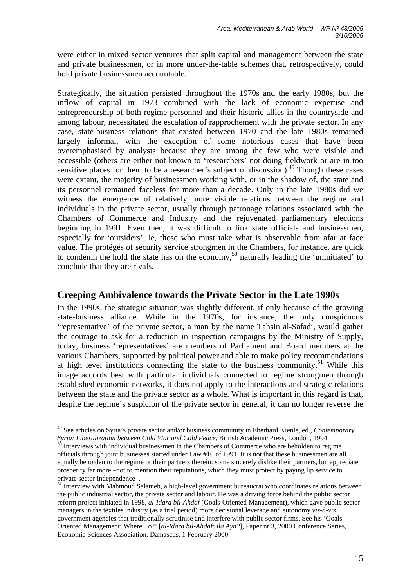were either in mixed sector ventures that split capital and management between the state and private businessmen, or in more under-the-table schemes that, retrospectively, could hold private businessmen accountable.

Strategically, the situation persisted throughout the 1970s and the early 1980s, but the inflow of capital in 1973 combined with the lack of economic expertise and entrepreneurship of both regime personnel and their historic allies in the countryside and among labour, necessitated the escalation of rapprochement with the private sector. In any case, state-business relations that existed between 1970 and the late 1980s remained largely informal, with the exception of some notorious cases that have been overemphasised by analysts because they are among the few who were visible and accessible (others are either not known to 'researchers' not doing fieldwork or are in too sensitive places for them to be a researcher's subject of discussion).<sup>49</sup> Though these cases were extant, the majority of businessmen working with, or in the shadow of, the state and its personnel remained faceless for more than a decade. Only in the late 1980s did we witness the emergence of relatively more visible relations between the regime and individuals in the private sector, usually through patronage relations associated with the Chambers of Commerce and Industry and the rejuvenated parliamentary elections beginning in 1991. Even then, it was difficult to link state officials and businessmen, especially for 'outsiders', ie, those who must take what is observable from afar at face value. The protégés of security service strongmen in the Chambers, for instance, are quick to condemn the hold the state has on the economy,<sup>50</sup> naturally leading the 'uninitiated' to conclude that they are rivals.

### **Creeping Ambivalence towards the Private Sector in the Late 1990s**

In the 1990s, the strategic situation was slightly different, if only because of the growing state-business alliance. While in the 1970s, for instance, the only conspicuous 'representative' of the private sector, a man by the name Tahsin al-Safadi, would gather the courage to ask for a reduction in inspection campaigns by the Ministry of Supply, today, business 'representatives' are members of Parliament and Board members at the various Chambers, supported by political power and able to make policy recommendations at high level institutions connecting the state to the business community.<sup>51</sup> While this image accords best with particular individuals connected to regime strongmen through established economic networks, it does not apply to the interactions and strategic relations between the state and the private sector as a whole. What is important in this regard is that, despite the regime's suspicion of the private sector in general, it can no longer reverse the

<sup>49</sup> See articles on Syria's private sector and/or business community in Eberhard Kienle, ed., *Contemporary Syria: Liberalization between Cold War and Cold Peace*, British Academic Press, London, 1994.<br><sup>50</sup> Interviews with individual businessmen in the Chambers of Commerce who are beholden to regime

officials through joint businesses started under Law #10 of 1991. It is not that these businessmen are all equally beholden to the regime or their partners therein: some sincerely dislike their partners, but appreciate prosperity far more –not to mention their reputations, which they must protect by paying lip service to private sector independence–.

<sup>&</sup>lt;sup>51</sup> Interview with Mahmoud Salameh, a high-level government bureaucrat who coordinates relations between the public industrial sector, the private sector and labour. He was a driving force behind the public sector reform project initiated in 1998, *al-Idara bil-Ahdaf* (Goals-Oriented Management), which gave public sector managers in the textiles industry (as a trial period) more decisional leverage and autonomy *vis-à-vis* government agencies that traditionally scrutinise and interfere with public sector firms. See his 'Goals-Oriented Management: Where To?' [*al-Idara bil-Ahdaf: ila Ayn?*], Paper nr 3, 2000 Conference Series, Economic Sciences Association, Damascus, 1 February 2000.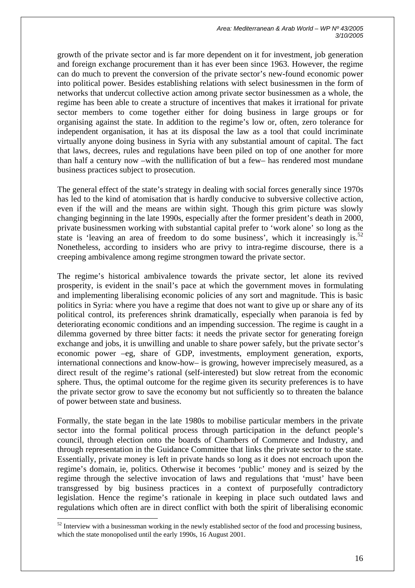growth of the private sector and is far more dependent on it for investment, job generation and foreign exchange procurement than it has ever been since 1963. However, the regime can do much to prevent the conversion of the private sector's new-found economic power into political power. Besides establishing relations with select businessmen in the form of networks that undercut collective action among private sector businessmen as a whole, the regime has been able to create a structure of incentives that makes it irrational for private sector members to come together either for doing business in large groups or for organising against the state. In addition to the regime's low or, often, zero tolerance for independent organisation, it has at its disposal the law as a tool that could incriminate virtually anyone doing business in Syria with any substantial amount of capital. The fact that laws, decrees, rules and regulations have been piled on top of one another for more than half a century now –with the nullification of but a few– has rendered most mundane business practices subject to prosecution.

The general effect of the state's strategy in dealing with social forces generally since 1970s has led to the kind of atomisation that is hardly conducive to subversive collective action, even if the will and the means are within sight. Though this grim picture was slowly changing beginning in the late 1990s, especially after the former president's death in 2000, private businessmen working with substantial capital prefer to 'work alone' so long as the state is 'leaving an area of freedom to do some business', which it increasingly is. $^{52}$ Nonetheless, according to insiders who are privy to intra-regime discourse, there is a creeping ambivalence among regime strongmen toward the private sector.

The regime's historical ambivalence towards the private sector, let alone its revived prosperity, is evident in the snail's pace at which the government moves in formulating and implementing liberalising economic policies of any sort and magnitude. This is basic politics in Syria: where you have a regime that does not want to give up or share any of its political control, its preferences shrink dramatically, especially when paranoia is fed by deteriorating economic conditions and an impending succession. The regime is caught in a dilemma governed by three bitter facts: it needs the private sector for generating foreign exchange and jobs, it is unwilling and unable to share power safely, but the private sector's economic power –eg, share of GDP, investments, employment generation, exports, international connections and know-how– is growing, however imprecisely measured, as a direct result of the regime's rational (self-interested) but slow retreat from the economic sphere. Thus, the optimal outcome for the regime given its security preferences is to have the private sector grow to save the economy but not sufficiently so to threaten the balance of power between state and business.

Formally, the state began in the late 1980s to mobilise particular members in the private sector into the formal political process through participation in the defunct people's council, through election onto the boards of Chambers of Commerce and Industry, and through representation in the Guidance Committee that links the private sector to the state. Essentially, private money is left in private hands so long as it does not encroach upon the regime's domain, ie, politics. Otherwise it becomes 'public' money and is seized by the regime through the selective invocation of laws and regulations that 'must' have been transgressed by big business practices in a context of purposefully contradictory legislation. Hence the regime's rationale in keeping in place such outdated laws and regulations which often are in direct conflict with both the spirit of liberalising economic

<sup>&</sup>lt;sup>52</sup> Interview with a businessman working in the newly established sector of the food and processing business, which the state monopolised until the early 1990s, 16 August 2001.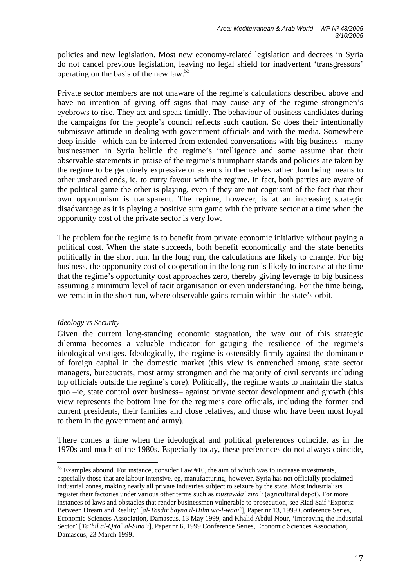policies and new legislation. Most new economy-related legislation and decrees in Syria do not cancel previous legislation, leaving no legal shield for inadvertent 'transgressors' operating on the basis of the new law.53

Private sector members are not unaware of the regime's calculations described above and have no intention of giving off signs that may cause any of the regime strongmen's eyebrows to rise. They act and speak timidly. The behaviour of business candidates during the campaigns for the people's council reflects such caution. So does their intentionally submissive attitude in dealing with government officials and with the media. Somewhere deep inside –which can be inferred from extended conversations with big business– many businessmen in Syria belittle the regime's intelligence and some assume that their observable statements in praise of the regime's triumphant stands and policies are taken by the regime to be genuinely expressive or as ends in themselves rather than being means to other unshared ends, ie, to curry favour with the regime. In fact, both parties are aware of the political game the other is playing, even if they are not cognisant of the fact that their own opportunism is transparent. The regime, however, is at an increasing strategic disadvantage as it is playing a positive sum game with the private sector at a time when the opportunity cost of the private sector is very low.

The problem for the regime is to benefit from private economic initiative without paying a political cost. When the state succeeds, both benefit economically and the state benefits politically in the short run. In the long run, the calculations are likely to change. For big business, the opportunity cost of cooperation in the long run is likely to increase at the time that the regime's opportunity cost approaches zero, thereby giving leverage to big business assuming a minimum level of tacit organisation or even understanding. For the time being, we remain in the short run, where observable gains remain within the state's orbit.

#### *Ideology vs Security*

 $\overline{a}$ 

Given the current long-standing economic stagnation, the way out of this strategic dilemma becomes a valuable indicator for gauging the resilience of the regime's ideological vestiges. Ideologically, the regime is ostensibly firmly against the dominance of foreign capital in the domestic market (this view is entrenched among state sector managers, bureaucrats, most army strongmen and the majority of civil servants including top officials outside the regime's core). Politically, the regime wants to maintain the status quo –ie, state control over business– against private sector development and growth (this view represents the bottom line for the regime's core officials, including the former and current presidents, their families and close relatives, and those who have been most loyal to them in the government and army).

There comes a time when the ideological and political preferences coincide, as in the 1970s and much of the 1980s. Especially today, these preferences do not always coincide,

<sup>&</sup>lt;sup>53</sup> Examples abound. For instance, consider Law #10, the aim of which was to increase investments, especially those that are labour intensive, eg, manufacturing; however, Syria has not officially proclaimed industrial zones, making nearly all private industries subject to seizure by the state. Most industrialists register their factories under various other terms such as *mustawda` zira`i* (agricultural depot). For more instances of laws and obstacles that render businessmen vulnerable to prosecution, see Riad Saif 'Exports: Between Dream and Reality' [*al-Tasdir bayna il-Hilm wa-l-waqi`*], Paper nr 13, 1999 Conference Series, Economic Sciences Association, Damascus, 13 May 1999, and Khalid Abdul Nour, 'Improving the Industrial Sector' [*Ta'hil al-Qita` al-Sina`i*], Paper nr 6, 1999 Conference Series, Economic Sciences Association, Damascus, 23 March 1999.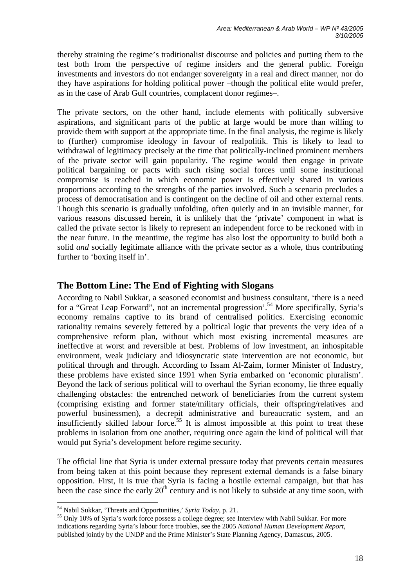thereby straining the regime's traditionalist discourse and policies and putting them to the test both from the perspective of regime insiders and the general public. Foreign investments and investors do not endanger sovereignty in a real and direct manner, nor do they have aspirations for holding political power –though the political elite would prefer, as in the case of Arab Gulf countries, complacent donor regimes–.

The private sectors, on the other hand, include elements with politically subversive aspirations, and significant parts of the public at large would be more than willing to provide them with support at the appropriate time. In the final analysis, the regime is likely to (further) compromise ideology in favour of realpolitik. This is likely to lead to withdrawal of legitimacy precisely at the time that politically-inclined prominent members of the private sector will gain popularity. The regime would then engage in private political bargaining or pacts with such rising social forces until some institutional compromise is reached in which economic power is effectively shared in various proportions according to the strengths of the parties involved. Such a scenario precludes a process of democratisation and is contingent on the decline of oil and other external rents. Though this scenario is gradually unfolding, often quietly and in an invisible manner, for various reasons discussed herein, it is unlikely that the 'private' component in what is called the private sector is likely to represent an independent force to be reckoned with in the near future. In the meantime, the regime has also lost the opportunity to build both a solid *and* socially legitimate alliance with the private sector as a whole, thus contributing further to 'boxing itself in'.

# **The Bottom Line: The End of Fighting with Slogans**

According to Nabil Sukkar, a seasoned economist and business consultant, 'there is a need for a "Great Leap Forward", not an incremental progression'.<sup>54</sup> More specifically, Syria's economy remains captive to its brand of centralised politics. Exercising economic rationality remains severely fettered by a political logic that prevents the very idea of a comprehensive reform plan, without which most existing incremental measures are ineffective at worst and reversible at best. Problems of low investment, an inhospitable environment, weak judiciary and idiosyncratic state intervention are not economic, but political through and through. According to Issam Al-Zaim, former Minister of Industry, these problems have existed since 1991 when Syria embarked on 'economic pluralism'. Beyond the lack of serious political will to overhaul the Syrian economy, lie three equally challenging obstacles: the entrenched network of beneficiaries from the current system (comprising existing and former state/military officials, their offspring/relatives and powerful businessmen), a decrepit administrative and bureaucratic system, and an insufficiently skilled labour force.<sup>55</sup> It is almost impossible at this point to treat these problems in isolation from one another, requiring once again the kind of political will that would put Syria's development before regime security.

The official line that Syria is under external pressure today that prevents certain measures from being taken at this point because they represent external demands is a false binary opposition. First, it is true that Syria is facing a hostile external campaign, but that has been the case since the early  $20<sup>th</sup>$  century and is not likely to subside at any time soon, with

<sup>54</sup> Nabil Sukkar, 'Threats and Opportunities,' *Syria Today*, p. 21.

<sup>&</sup>lt;sup>55</sup> Only 10% of Syria's work force possess a college degree; see Interview with Nabil Sukkar. For more indications regarding Syria's labour force troubles, see the 2005 *National Human Development Report*, published jointly by the UNDP and the Prime Minister's State Planning Agency, Damascus, 2005.